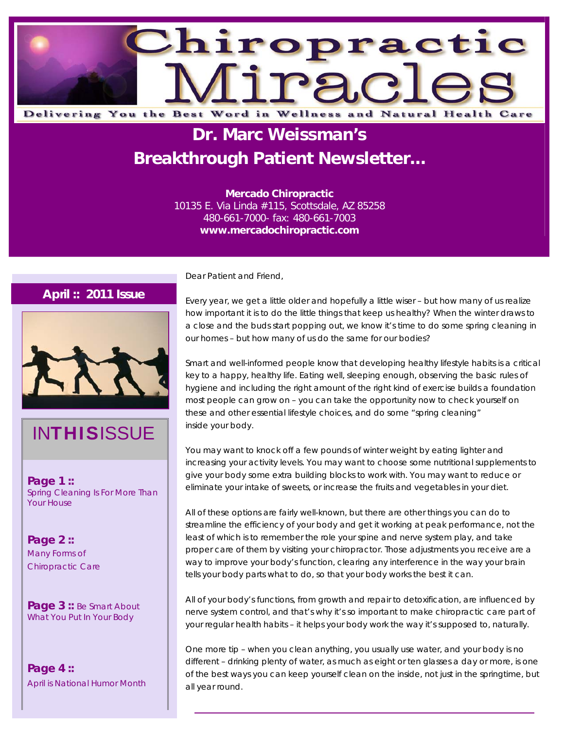

## **Dr. Marc Weissman's Breakthrough Patient Newsletter...**

**Mercado Chiropractic**  10135 E. Via Linda #115, Scottsdale, AZ 85258 480-661-7000- fax: 480-661-7003 **www.mercadochiropractic.com**

### **April :: 2011 Issue**



# INTHISISSUE Inside your body.

**Page 1 ::**  Spring Cleaning Is For More Than Your House

**Page 2 ::**  Many Forms of Chiropractic Care

**Page 3 :: Be Smart About** What You Put In Your Body

**Page 4 ::**  April is National Humor Month Dear Patient and Friend,

Every year, we get a little older and hopefully a little wiser – but how many of us realize how important it is to do the little things that keep us healthy? When the winter draws to a close and the buds start popping out, we know it's time to do some spring cleaning in our homes – but how many of us do the same for our bodies?

Smart and well-informed people know that developing healthy lifestyle habits is a critical key to a happy, healthy life. Eating well, sleeping enough, observing the basic rules of hygiene and including the right amount of the right kind of exercise builds a foundation most people can grow on – you can take the opportunity now to check yourself on these and other essential lifestyle choices, and do some "spring cleaning"

You may want to knock off a few pounds of winter weight by eating lighter and increasing your activity levels. You may want to choose some nutritional supplements to give your body some extra building blocks to work with. You may want to reduce or eliminate your intake of sweets, or increase the fruits and vegetables in your diet.

All of these options are fairly well-known, but there are other things you can do to streamline the efficiency of your body and get it working at peak performance, not the least of which is to remember the role your spine and nerve system play, and take proper care of them by visiting your chiropractor. Those adjustments you receive are a way to improve your body's function, clearing any interference in the way your brain tells your body parts what to do, so that your body works the best it can.

All of your body's functions, from growth and repair to detoxification, are influenced by nerve system control, and that's why it's so important to make chiropractic care part of your regular health habits – it helps your body work the way it's supposed to, naturally.

One more tip – when you clean anything, you usually use water, and your body is no different – drinking plenty of water, as much as eight or ten glasses a day or more, is one of the best ways you can keep yourself clean on the inside, not just in the springtime, but all year round.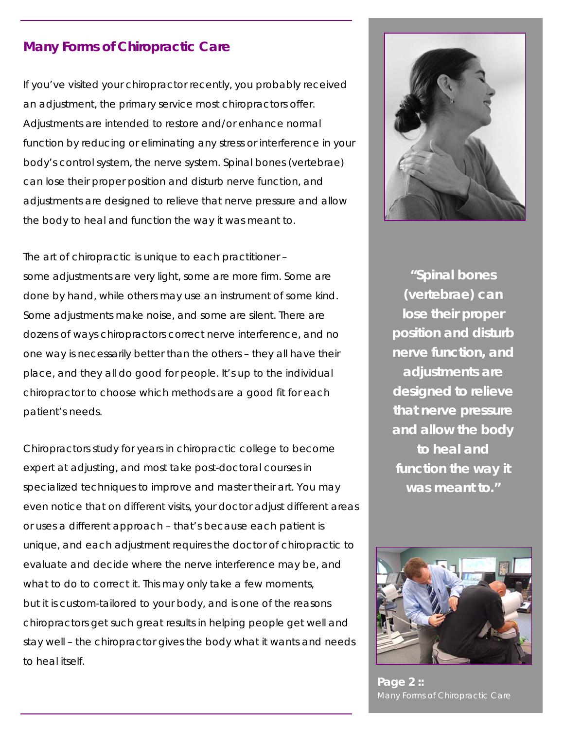## **Many Forms of Chiropractic Care**

If you've visited your chiropractor recently, you probably received an adjustment, the primary service most chiropractors offer. Adjustments are intended to restore and/or enhance normal function by reducing or eliminating any stress or interference in your body's control system, the nerve system. Spinal bones (vertebrae) can lose their proper position and disturb nerve function, and adjustments are designed to relieve that nerve pressure and allow the body to heal and function the way it was meant to.

The art of chiropractic is unique to each practitioner – some adjustments are very light, some are more firm. Some are done by hand, while others may use an instrument of some kind. Some adjustments make noise, and some are silent. There are dozens of ways chiropractors correct nerve interference, and no one way is necessarily better than the others – they all have their place, and they all do good for people. It's up to the individual chiropractor to choose which methods are a good fit for each patient's needs.

Chiropractors study for years in chiropractic college to become expert at adjusting, and most take post-doctoral courses in specialized techniques to improve and master their art. You may even notice that on different visits, your doctor adjust different areas or uses a different approach – that's because each patient is unique, and each adjustment requires the doctor of chiropractic to evaluate and decide where the nerve interference may be, and what to do to correct it. This may only take a few moments, but it is custom-tailored to your body, and is one of the reasons chiropractors get such great results in helping people get well and stay well – the chiropractor gives the body what it wants and needs to heal itself.



*"Spinal bones (vertebrae) can lose their proper position and disturb nerve function, and adjustments are designed to relieve that nerve pressure and allow the body to heal and function the way it was meant to."* 



**Page 2 ::**  Many Forms of Chiropractic Care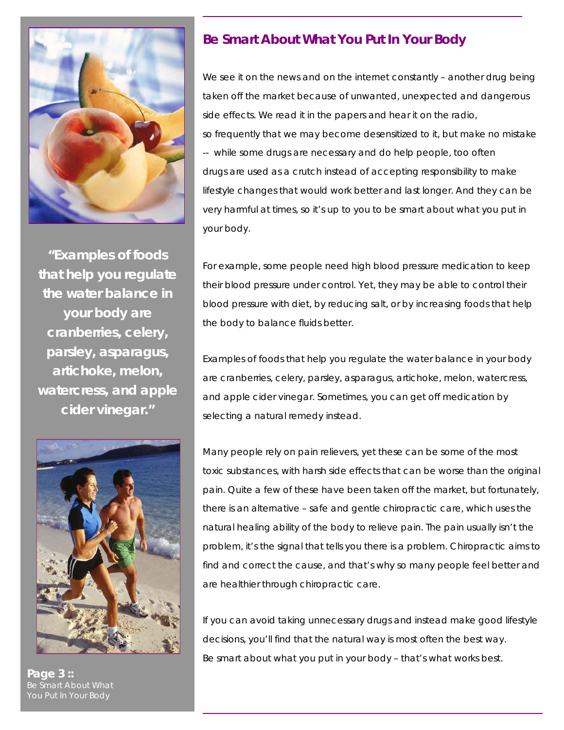

*"Examples of foods that help you regulate the water balance in your body are cranberries, celery, parsley, asparagus, artichoke, melon, watercress, and apple cider vinegar."* 



**Page 3 ::**  art About What You Put In Your Body

## **Be Smart About What You Put In Your Body**

We see it on the news and on the internet constantly – another drug being taken off the market because of unwanted, unexpected and dangerous side effects. We read it in the papers and hear it on the radio, so frequently that we may become desensitized to it, but make no mistake -- while some drugs are necessary and do help people, too often drugs are used as a crutch instead of accepting responsibility to make lifestyle changes that would work better and last longer. And they can be very harmful at times, so it's up to you to be smart about what you put in your body.

For example, some people need high blood pressure medication to keep their blood pressure under control. Yet, they may be able to control their blood pressure with diet, by reducing salt, or by increasing foods that help the body to balance fluids better.

Examples of foods that help you regulate the water balance in your body are cranberries, celery, parsley, asparagus, artichoke, melon, watercress, and apple cider vinegar. Sometimes, you can get off medication by selecting a natural remedy instead.

Many people rely on pain relievers, yet these can be some of the most toxic substances, with harsh side effects that can be worse than the original pain. Quite a few of these have been taken off the market, but fortunately, there is an alternative – safe and gentle chiropractic care, which uses the natural healing ability of the body to relieve pain. The pain usually isn't the problem, it's the signal that tells you there is a problem. Chiropractic aims to find and correct the cause, and that's why so many people feel better and are healthier through chiropractic care.

If you can avoid taking unnecessary drugs and instead make good lifestyle decisions, you'll find that the natural way is most often the best way. Be smart about what you put in your body – that's what works best.